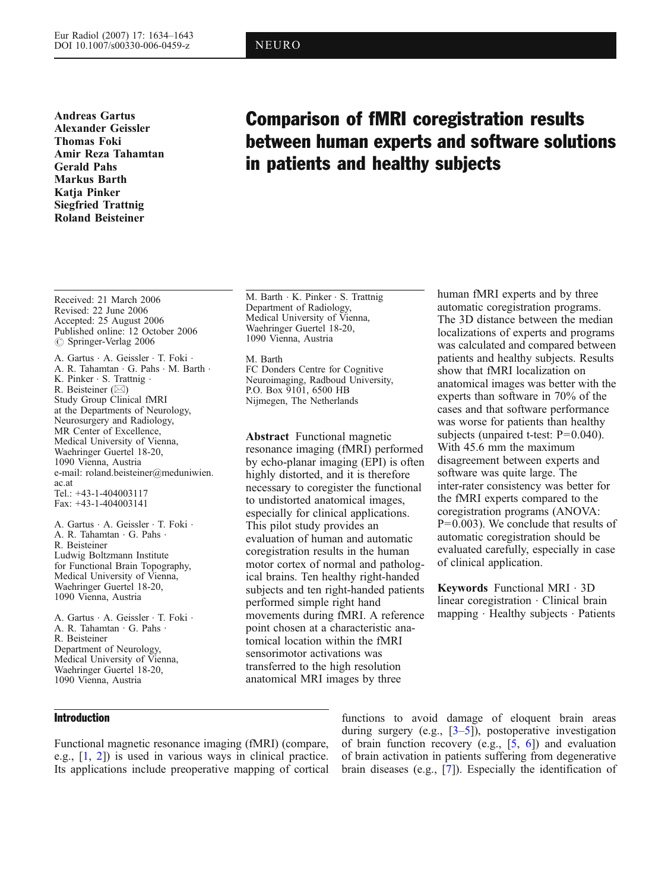Andreas Gartus Alexander Geissler Thomas Foki Amir Reza Tahamtan Gerald Pahs Markus Barth Katja Pinker Siegfried Trattnig Roland Beisteiner

# Comparison of fMRI coregistration results between human experts and software solutions in patients and healthy subjects

Received: 21 March 2006 Revised: 22 June 2006 Accepted: 25 August 2006 Published online: 12 October 2006  $\oslash$  Springer-Verlag 2006

A. Gartus . A. Geissler . T. Foki . A. R. Tahamtan . G. Pahs . M. Barth . K. Pinker . S. Trattnig . R. Beisteiner  $(\boxtimes)$ Study Group Clinical fMRI at the Departments of Neurology, Neurosurgery and Radiology, MR Center of Excellence, Medical University of Vienna, Waehringer Guertel 18-20, 1090 Vienna, Austria e-mail: roland.beisteiner@meduniwien. ac.at Tel.: +43-1-404003117 Fax: +43-1-404003141

A. Gartus . A. Geissler . T. Foki . A. R. Tahamtan . G. Pahs . R. Beisteiner Ludwig Boltzmann Institute for Functional Brain Topography, Medical University of Vienna, Waehringer Guertel 18-20, 1090 Vienna, Austria

A. Gartus . A. Geissler . T. Foki . A. R. Tahamtan . G. Pahs . R. Beisteiner Department of Neurology, Medical University of Vienna, Waehringer Guertel 18-20, 1090 Vienna, Austria

M. Barth . K. Pinker . S. Trattnig Department of Radiology, Medical University of Vienna, Waehringer Guertel 18-20, 1090 Vienna, Austria

M. Barth FC Donders Centre for Cognitive Neuroimaging, Radboud University, P.O. Box 9101, 6500 HB Nijmegen, The Netherlands

Abstract Functional magnetic resonance imaging (fMRI) performed by echo-planar imaging (EPI) is often highly distorted, and it is therefore necessary to coregister the functional to undistorted anatomical images, especially for clinical applications. This pilot study provides an evaluation of human and automatic coregistration results in the human motor cortex of normal and pathological brains. Ten healthy right-handed subjects and ten right-handed patients performed simple right hand movements during fMRI. A reference point chosen at a characteristic anatomical location within the fMRI sensorimotor activations was transferred to the high resolution anatomical MRI images by three

human fMRI experts and by three automatic coregistration programs. The 3D distance between the median localizations of experts and programs was calculated and compared between patients and healthy subjects. Results show that fMRI localization on anatomical images was better with the experts than software in 70% of the cases and that software performance was worse for patients than healthy subjects (unpaired t-test: P=0.040). With 45.6 mm the maximum disagreement between experts and software was quite large. The inter-rater consistency was better for the fMRI experts compared to the coregistration programs (ANOVA: P=0.003). We conclude that results of automatic coregistration should be evaluated carefully, especially in case of clinical application.

Keywords Functional MRI . 3D linear coregistration . Clinical brain mapping . Healthy subjects . Patients

## Introduction

Functional magnetic resonance imaging (fMRI) (compare, e.g., [[1,](#page-8-0) [2\]](#page-8-0)) is used in various ways in clinical practice. Its applications include preoperative mapping of cortical

functions to avoid damage of eloquent brain areas during surgery (e.g., [[3](#page-8-0)–[5\]](#page-8-0)), postoperative investigation of brain function recovery (e.g., [[5,](#page-8-0) [6\]](#page-8-0)) and evaluation of brain activation in patients suffering from degenerative brain diseases (e.g., [[7](#page-8-0)]). Especially the identification of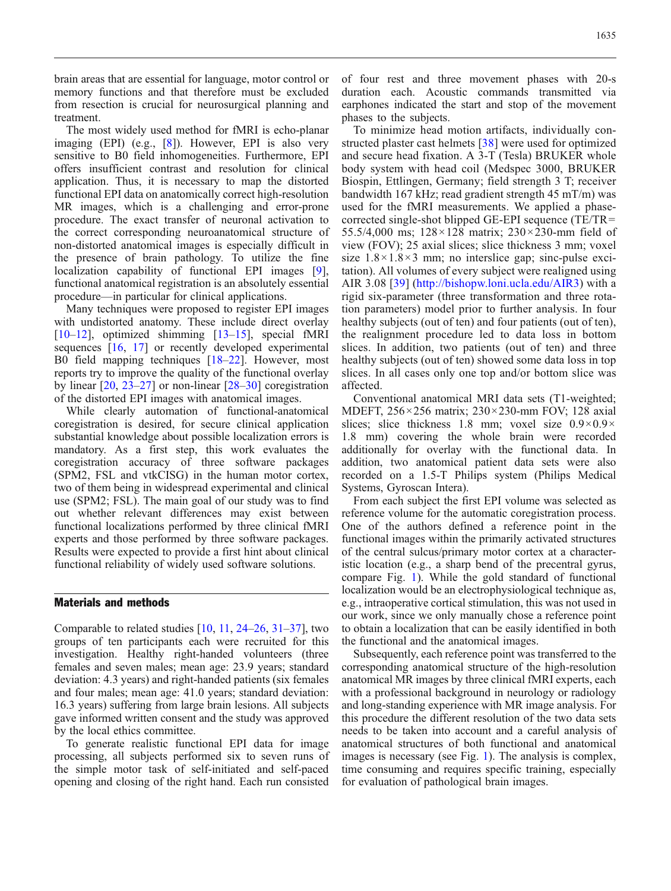brain areas that are essential for language, motor control or memory functions and that therefore must be excluded from resection is crucial for neurosurgical planning and treatment.

The most widely used method for fMRI is echo-planar imaging (EPI) (e.g., [[8](#page-8-0)]). However, EPI is also very sensitive to B0 field inhomogeneities. Furthermore, EPI offers insufficient contrast and resolution for clinical application. Thus, it is necessary to map the distorted functional EPI data on anatomically correct high-resolution MR images, which is a challenging and error-prone procedure. The exact transfer of neuronal activation to the correct corresponding neuroanatomical structure of non-distorted anatomical images is especially difficult in the presence of brain pathology. To utilize the fine localization capability of functional EPI images [[9\]](#page-8-0), functional anatomical registration is an absolutely essential procedure—in particular for clinical applications.

Many techniques were proposed to register EPI images with undistorted anatomy. These include direct overlay  $[10-12]$  $[10-12]$  $[10-12]$  $[10-12]$ , optimized shimming  $[13-15]$  $[13-15]$  $[13-15]$  $[13-15]$  $[13-15]$ , special fMRI sequences [\[16,](#page-8-0) [17](#page-8-0)] or recently developed experimental B0 field mapping techniques [\[18](#page-8-0)–[22\]](#page-8-0). However, most reports try to improve the quality of the functional overlay by linear [\[20,](#page-8-0) [23](#page-8-0)–[27\]](#page-8-0) or non-linear [\[28](#page-8-0)–[30\]](#page-9-0) coregistration of the distorted EPI images with anatomical images.

While clearly automation of functional-anatomical coregistration is desired, for secure clinical application substantial knowledge about possible localization errors is mandatory. As a first step, this work evaluates the coregistration accuracy of three software packages (SPM2, FSL and vtkCISG) in the human motor cortex, two of them being in widespread experimental and clinical use (SPM2; FSL). The main goal of our study was to find out whether relevant differences may exist between functional localizations performed by three clinical fMRI experts and those performed by three software packages. Results were expected to provide a first hint about clinical functional reliability of widely used software solutions.

## Materials and methods

Comparable to related studies  $[10, 11, 24–26, 31–37]$  $[10, 11, 24–26, 31–37]$  $[10, 11, 24–26, 31–37]$  $[10, 11, 24–26, 31–37]$  $[10, 11, 24–26, 31–37]$  $[10, 11, 24–26, 31–37]$  $[10, 11, 24–26, 31–37]$  $[10, 11, 24–26, 31–37]$  $[10, 11, 24–26, 31–37]$  $[10, 11, 24–26, 31–37]$  $[10, 11, 24–26, 31–37]$ , two groups of ten participants each were recruited for this investigation. Healthy right-handed volunteers (three females and seven males; mean age: 23.9 years; standard deviation: 4.3 years) and right-handed patients (six females and four males; mean age: 41.0 years; standard deviation: 16.3 years) suffering from large brain lesions. All subjects gave informed written consent and the study was approved by the local ethics committee.

To generate realistic functional EPI data for image processing, all subjects performed six to seven runs of the simple motor task of self-initiated and self-paced opening and closing of the right hand. Each run consisted of four rest and three movement phases with 20-s duration each. Acoustic commands transmitted via earphones indicated the start and stop of the movement phases to the subjects.

To minimize head motion artifacts, individually constructed plaster cast helmets [[38\]](#page-9-0) were used for optimized and secure head fixation. A 3-T (Tesla) BRUKER whole body system with head coil (Medspec 3000, BRUKER Biospin, Ettlingen, Germany; field strength 3 T; receiver bandwidth 167 kHz; read gradient strength 45 mT/m) was used for the fMRI measurements. We applied a phasecorrected single-shot blipped GE-EPI sequence (TE/TR= 55.5/4,000 ms; 128×128 matrix; 230×230-mm field of view (FOV); 25 axial slices; slice thickness 3 mm; voxel size  $1.8 \times 1.8 \times 3$  mm; no interslice gap; sinc-pulse excitation). All volumes of every subject were realigned using AIR 3.08 [\[39\]](#page-9-0) ([http://bishopw.loni.ucla.edu/AIR3\)](http://bishopw.loni.ucla.edu/AIR3) with a rigid six-parameter (three transformation and three rotation parameters) model prior to further analysis. In four healthy subjects (out of ten) and four patients (out of ten), the realignment procedure led to data loss in bottom slices. In addition, two patients (out of ten) and three healthy subjects (out of ten) showed some data loss in top slices. In all cases only one top and/or bottom slice was affected.

Conventional anatomical MRI data sets (T1-weighted; MDEFT, 256×256 matrix; 230×230-mm FOV; 128 axial slices; slice thickness 1.8 mm; voxel size  $0.9 \times 0.9 \times$ 1.8 mm) covering the whole brain were recorded additionally for overlay with the functional data. In addition, two anatomical patient data sets were also recorded on a 1.5-T Philips system (Philips Medical Systems, Gyroscan Intera).

From each subject the first EPI volume was selected as reference volume for the automatic coregistration process. One of the authors defined a reference point in the functional images within the primarily activated structures of the central sulcus/primary motor cortex at a characteristic location (e.g., a sharp bend of the precentral gyrus, compare Fig. [1](#page-2-0)). While the gold standard of functional localization would be an electrophysiological technique as, e.g., intraoperative cortical stimulation, this was not used in our work, since we only manually chose a reference point to obtain a localization that can be easily identified in both the functional and the anatomical images.

Subsequently, each reference point was transferred to the corresponding anatomical structure of the high-resolution anatomical MR images by three clinical fMRI experts, each with a professional background in neurology or radiology and long-standing experience with MR image analysis. For this procedure the different resolution of the two data sets needs to be taken into account and a careful analysis of anatomical structures of both functional and anatomical images is necessary (see Fig. [1\)](#page-2-0). The analysis is complex, time consuming and requires specific training, especially for evaluation of pathological brain images.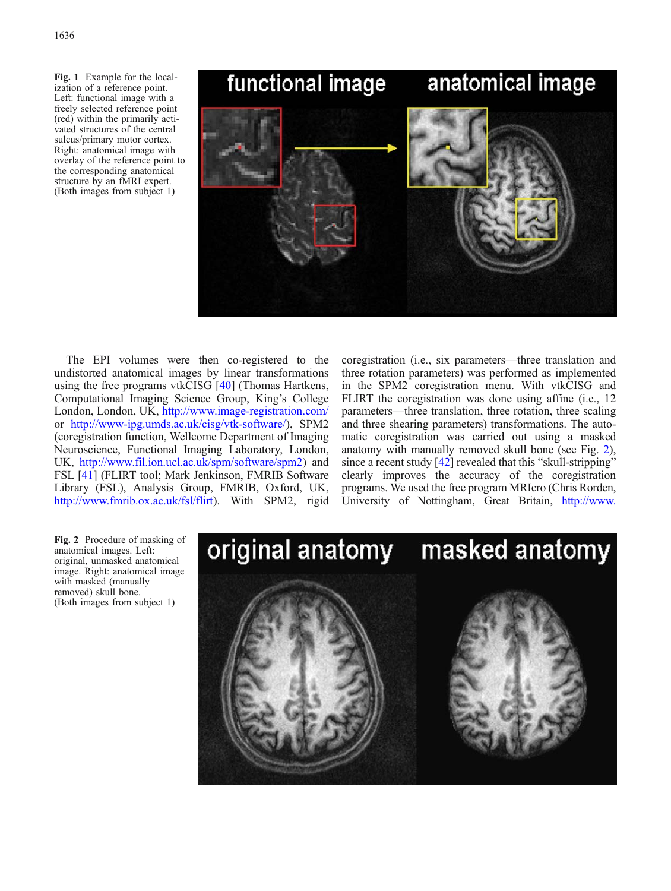<span id="page-2-0"></span>Fig. 1 Example for the localization of a reference point. Left: functional image with a freely selected reference point (red) within the primarily activated structures of the central sulcus/primary motor cortex. Right: anatomical image with overlay of the reference point to the corresponding anatomical structure by an fMRI expert. (Both images from subject 1)



The EPI volumes were then co-registered to the undistorted anatomical images by linear transformations using the free programs vtkCISG [[40](#page-9-0)] (Thomas Hartkens, Computational Imaging Science Group, King's College London, London, UK, <http://www.image-registration.com/> or [http://www-ipg.umds.ac.uk/cisg/vtk-software/\)](http://www-ipg.umds.ac.uk/cisg/vtk-software/), SPM2 (coregistration function, Wellcome Department of Imaging Neuroscience, Functional Imaging Laboratory, London, UK, [http://www.fil.ion.ucl.ac.uk/spm/software/spm2\)](http://www.fil.ion.ucl.ac.uk/spm/software/spm2) and FSL [[41\]](#page-9-0) (FLIRT tool; Mark Jenkinson, FMRIB Software Library (FSL), Analysis Group, FMRIB, Oxford, UK, <http://www.fmrib.ox.ac.uk/fsl/flirt>). With SPM2, rigid coregistration (i.e., six parameters—three translation and three rotation parameters) was performed as implemented in the SPM2 coregistration menu. With vtkCISG and FLIRT the coregistration was done using affine (i.e., 12 parameters—three translation, three rotation, three scaling and three shearing parameters) transformations. The automatic coregistration was carried out using a masked anatomy with manually removed skull bone (see Fig. 2), since a recent study  $[42]$  revealed that this "skull-stripping" clearly improves the accuracy of the coregistration programs. We used the free program MRIcro (Chris Rorden, University of Nottingham, Great Britain, [http://www.](http://www.psychology.nottingham.ac.uk/staff/cr1/mricro.html)

Fig. 2 Procedure of masking of anatomical images. Left: original, unmasked anatomical image. Right: anatomical image with masked (manually removed) skull bone. (Both images from subject 1)

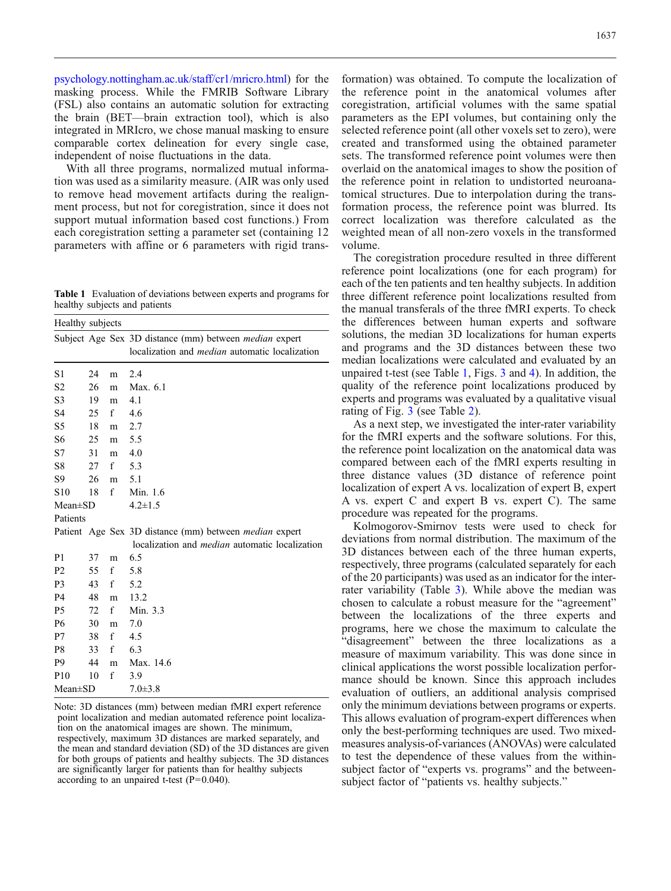<span id="page-3-0"></span>[psychology.nottingham.ac.uk/staff/cr1/mricro.html\)](http://www.psychology.nottingham.ac.uk/staff/cr1/mricro.html) for the masking process. While the FMRIB Software Library (FSL) also contains an automatic solution for extracting the brain (BET—brain extraction tool), which is also integrated in MRIcro, we chose manual masking to ensure comparable cortex delineation for every single case, independent of noise fluctuations in the data.

With all three programs, normalized mutual information was used as a similarity measure. (AIR was only used to remove head movement artifacts during the realignment process, but not for coregistration, since it does not support mutual information based cost functions.) From each coregistration setting a parameter set (containing 12 parameters with affine or 6 parameters with rigid trans-

Table 1 Evaluation of deviations between experts and programs for healthy subjects and patients

| Healthy subjects |    |   |                                                                                                                        |  |
|------------------|----|---|------------------------------------------------------------------------------------------------------------------------|--|
|                  |    |   | Subject Age Sex 3D distance (mm) between <i>median</i> expert<br>localization and <i>median</i> automatic localization |  |
| S1               | 24 | m | 2.4                                                                                                                    |  |
| S <sub>2</sub>   | 26 | m | Max. 6.1                                                                                                               |  |
| S <sub>3</sub>   | 19 | m | 4.1                                                                                                                    |  |
| S <sub>4</sub>   | 25 | f | 4.6                                                                                                                    |  |
| S5               | 18 | m | 2.7                                                                                                                    |  |
| S <sub>6</sub>   | 25 | m | 5.5                                                                                                                    |  |
| S7               | 31 | m | 4.0                                                                                                                    |  |
| S8               | 27 | f | 5.3                                                                                                                    |  |
| S9               | 26 | m | 5.1                                                                                                                    |  |
| S <sub>10</sub>  | 18 | f | Min. 1.6                                                                                                               |  |
| $Mean \pm SD$    |    |   | $4.2 \pm 1.5$                                                                                                          |  |
| Patients         |    |   |                                                                                                                        |  |
|                  |    |   | Patient Age Sex 3D distance (mm) between <i>median</i> expert<br>localization and <i>median</i> automatic localization |  |
| P <sub>1</sub>   | 37 | m | 6.5                                                                                                                    |  |
| P <sub>2</sub>   | 55 | f | 5.8                                                                                                                    |  |
| P <sub>3</sub>   | 43 | f | 5.2                                                                                                                    |  |
| P4               | 48 | m | 13.2                                                                                                                   |  |
| P <sub>5</sub>   | 72 | f | Min. 3.3                                                                                                               |  |
| P <sub>6</sub>   | 30 | m | 7.0                                                                                                                    |  |
| P7               | 38 | f | 4.5                                                                                                                    |  |
| P8               | 33 | f | 6.3                                                                                                                    |  |
| P <sub>9</sub>   | 44 | m | Max. 14.6                                                                                                              |  |
| P <sub>10</sub>  | 10 | f | 3.9                                                                                                                    |  |
| Mean±SD          |    |   | $7.0 \pm 3.8$                                                                                                          |  |

Note: 3D distances (mm) between median fMRI expert reference point localization and median automated reference point localization on the anatomical images are shown. The minimum, respectively, maximum 3D distances are marked separately, and the mean and standard deviation (SD) of the 3D distances are given for both groups of patients and healthy subjects. The 3D distances are significantly larger for patients than for healthy subjects according to an unpaired t-test  $(P=0.040)$ .

formation) was obtained. To compute the localization of the reference point in the anatomical volumes after coregistration, artificial volumes with the same spatial parameters as the EPI volumes, but containing only the selected reference point (all other voxels set to zero), were created and transformed using the obtained parameter sets. The transformed reference point volumes were then overlaid on the anatomical images to show the position of the reference point in relation to undistorted neuroanatomical structures. Due to interpolation during the transformation process, the reference point was blurred. Its correct localization was therefore calculated as the weighted mean of all non-zero voxels in the transformed volume.

The coregistration procedure resulted in three different reference point localizations (one for each program) for each of the ten patients and ten healthy subjects. In addition three different reference point localizations resulted from the manual transferals of the three fMRI experts. To check the differences between human experts and software solutions, the median 3D localizations for human experts and programs and the 3D distances between these two median localizations were calculated and evaluated by an unpaired t-test (see Table 1, Figs. [3](#page-4-0) and [4](#page-5-0)). In addition, the quality of the reference point localizations produced by experts and programs was evaluated by a qualitative visual rating of Fig. [3](#page-4-0) (see Table [2](#page-5-0)).

As a next step, we investigated the inter-rater variability for the fMRI experts and the software solutions. For this, the reference point localization on the anatomical data was compared between each of the fMRI experts resulting in three distance values (3D distance of reference point localization of expert A vs. localization of expert B, expert A vs. expert C and expert B vs. expert C). The same procedure was repeated for the programs.

Kolmogorov-Smirnov tests were used to check for deviations from normal distribution. The maximum of the 3D distances between each of the three human experts, respectively, three programs (calculated separately for each of the 20 participants) was used as an indicator for the interrater variability (Table [3](#page-6-0)). While above the median was chosen to calculate a robust measure for the "agreement" between the localizations of the three experts and programs, here we chose the maximum to calculate the "disagreement" between the three localizations as a measure of maximum variability. This was done since in clinical applications the worst possible localization performance should be known. Since this approach includes evaluation of outliers, an additional analysis comprised only the minimum deviations between programs or experts. This allows evaluation of program-expert differences when only the best-performing techniques are used. Two mixedmeasures analysis-of-variances (ANOVAs) were calculated to test the dependence of these values from the withinsubject factor of "experts vs. programs" and the betweensubject factor of "patients vs. healthy subjects."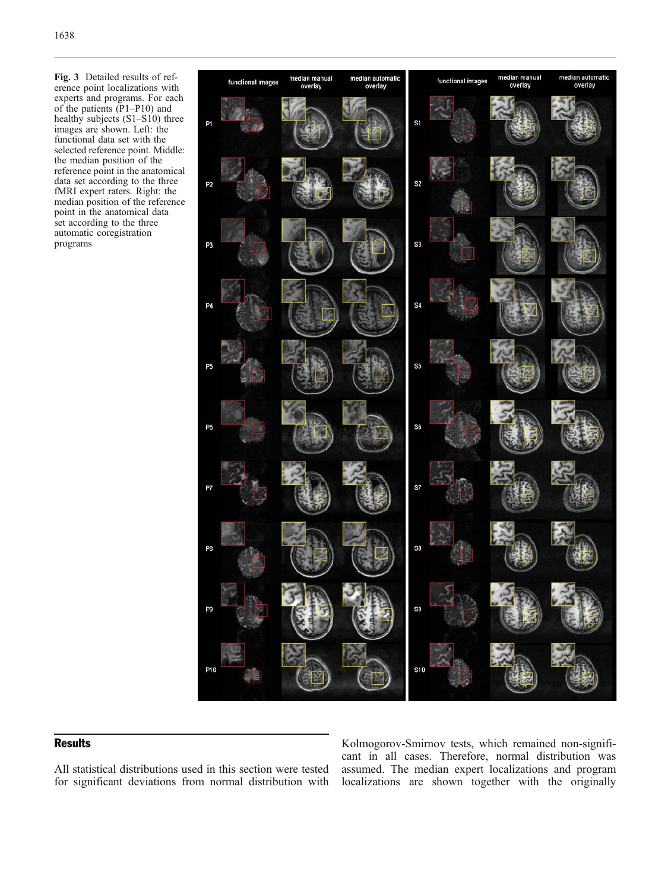<span id="page-4-0"></span>Fig. 3 Detailed results of reference point localizations with experts and programs. For each of the patients (P1–P10) and healthy subjects (S1–S10) three images are shown. Left: the functional data set with the selected reference point. Middle: the median position of the reference point in the anatomical data set according to the three fMRI expert raters. Right: the median position of the reference point in the anatomical data set according to the three automatic coregistration programs



## **Results**

All statistical distributions used in this section were tested for significant deviations from normal distribution with

Kolmogorov-Smirnov tests, which remained non-significant in all cases. Therefore, normal distribution was assumed. The median expert localizations and program localizations are shown together with the originally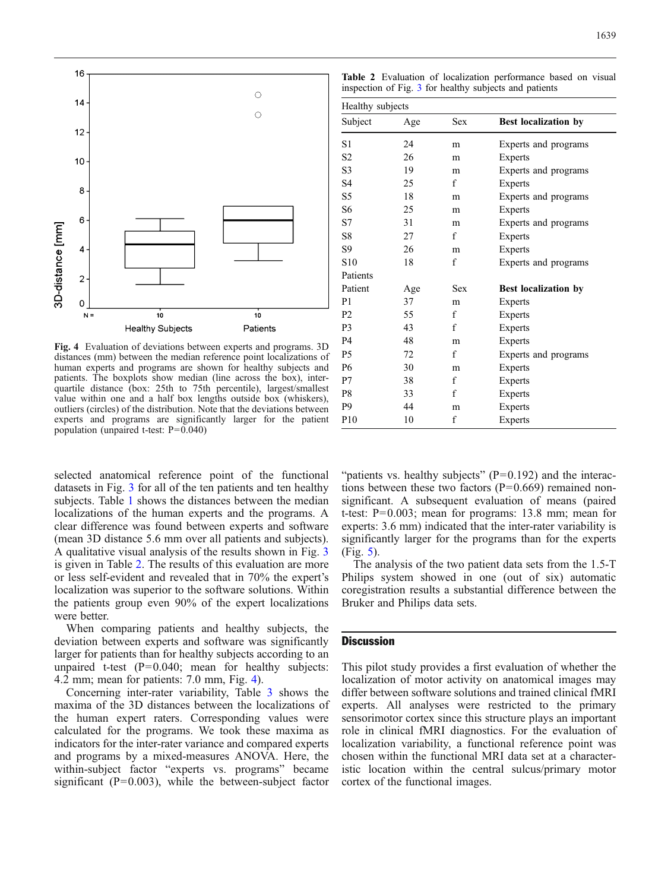

<span id="page-5-0"></span>

Fig. 4 Evaluation of deviations between experts and programs. 3D distances (mm) between the median reference point localizations of human experts and programs are shown for healthy subjects and patients. The boxplots show median (line across the box), interquartile distance (box: 25th to 75th percentile), largest/smallest value within one and a half box lengths outside box (whiskers), outliers (circles) of the distribution. Note that the deviations between experts and programs are significantly larger for the patient population (unpaired t-test: P=0.040)

selected anatomical reference point of the functional datasets in Fig. [3](#page-4-0) for all of the ten patients and ten healthy subjects. Table [1](#page-3-0) shows the distances between the median localizations of the human experts and the programs. A clear difference was found between experts and software (mean 3D distance 5.6 mm over all patients and subjects). A qualitative visual analysis of the results shown in Fig. [3](#page-4-0) is given in Table 2. The results of this evaluation are more or less self-evident and revealed that in 70% the expert's localization was superior to the software solutions. Within the patients group even 90% of the expert localizations were better.

When comparing patients and healthy subjects, the deviation between experts and software was significantly larger for patients than for healthy subjects according to an unpaired t-test  $(P=0.040;$  mean for healthy subjects: 4.2 mm; mean for patients: 7.0 mm, Fig. 4).

Concerning inter-rater variability, Table [3](#page-6-0) shows the maxima of the 3D distances between the localizations of the human expert raters. Corresponding values were calculated for the programs. We took these maxima as indicators for the inter-rater variance and compared experts and programs by a mixed-measures ANOVA. Here, the within-subject factor "experts vs. programs" became significant  $(P=0.003)$ , while the between-subject factor

| <b>Table 2</b> Evaluation of localization performance based on visual |  |  |  |
|-----------------------------------------------------------------------|--|--|--|
| inspection of Fig. 3 for healthy subjects and patients                |  |  |  |

| Healthy subjects |     |             |                             |  |  |
|------------------|-----|-------------|-----------------------------|--|--|
| Subject          | Age | <b>Sex</b>  | Best localization by        |  |  |
| S1               | 24  | m           | Experts and programs        |  |  |
| S <sub>2</sub>   | 26  | m           | Experts                     |  |  |
| S <sub>3</sub>   | 19  | m           | Experts and programs        |  |  |
| S <sub>4</sub>   | 25  | f           | <b>Experts</b>              |  |  |
| S5               | 18  | m           | Experts and programs        |  |  |
| S <sub>6</sub>   | 25  | m           | Experts                     |  |  |
| S7               | 31  | m           | Experts and programs        |  |  |
| S8               | 27  | f           | Experts                     |  |  |
| S <sub>9</sub>   | 26  | m           | Experts                     |  |  |
| S10              | 18  | f           | Experts and programs        |  |  |
| Patients         |     |             |                             |  |  |
| Patient          | Age | <b>Sex</b>  | <b>Best localization by</b> |  |  |
| P <sub>1</sub>   | 37  | m           | Experts                     |  |  |
| P <sub>2</sub>   | 55  | $\mathbf f$ | Experts                     |  |  |
| P <sub>3</sub>   | 43  | $\mathbf f$ | Experts                     |  |  |
| P <sub>4</sub>   | 48  | m           | Experts                     |  |  |
| P <sub>5</sub>   | 72  | f           | Experts and programs        |  |  |
| P <sub>6</sub>   | 30  | m           | Experts                     |  |  |
| P7               | 38  | f           | Experts                     |  |  |
| P8               | 33  | f           | Experts                     |  |  |
| P <sub>9</sub>   | 44  | m           | Experts                     |  |  |
| P <sub>10</sub>  | 10  | f           | Experts                     |  |  |

"patients vs. healthy subjects"  $(P=0.192)$  and the interactions between these two factors  $(P=0.669)$  remained nonsignificant. A subsequent evaluation of means (paired t-test: P=0.003; mean for programs: 13.8 mm; mean for experts: 3.6 mm) indicated that the inter-rater variability is significantly larger for the programs than for the experts (Fig. [5](#page-7-0)).

The analysis of the two patient data sets from the 1.5-T Philips system showed in one (out of six) automatic coregistration results a substantial difference between the Bruker and Philips data sets.

## **Discussion**

This pilot study provides a first evaluation of whether the localization of motor activity on anatomical images may differ between software solutions and trained clinical fMRI experts. All analyses were restricted to the primary sensorimotor cortex since this structure plays an important role in clinical fMRI diagnostics. For the evaluation of localization variability, a functional reference point was chosen within the functional MRI data set at a characteristic location within the central sulcus/primary motor cortex of the functional images.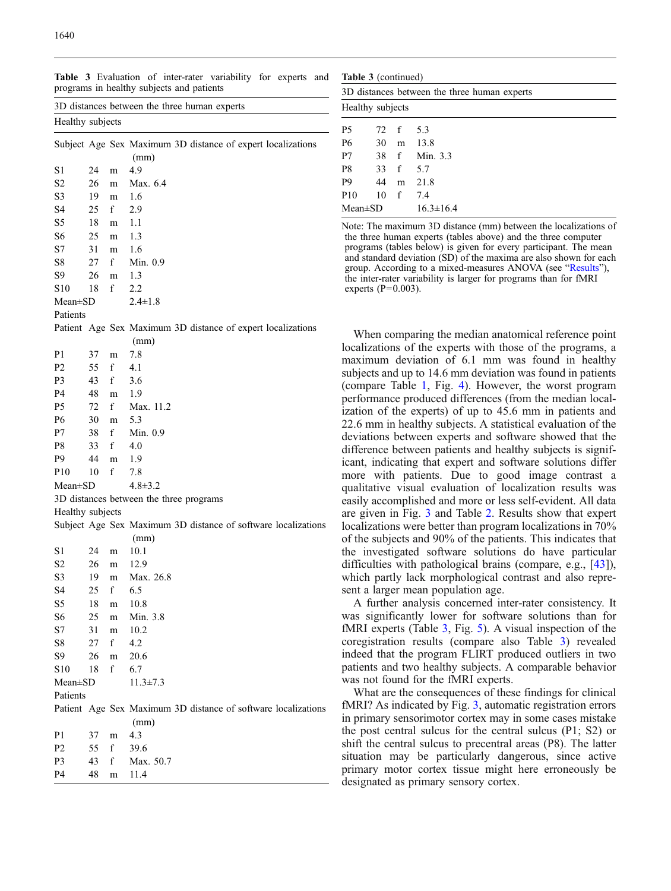<span id="page-6-0"></span>1640

| 3D distances between the three human experts |    |   |                                                                       |  |  |
|----------------------------------------------|----|---|-----------------------------------------------------------------------|--|--|
| Healthy subjects                             |    |   |                                                                       |  |  |
|                                              |    |   | Subject Age Sex Maximum 3D distance of expert localizations<br>(mm)   |  |  |
| S1                                           | 24 | m | 4.9                                                                   |  |  |
| S2                                           | 26 | m | Max. 6.4                                                              |  |  |
| S3                                           | 19 | m | 1.6                                                                   |  |  |
| S4                                           | 25 | f | 2.9                                                                   |  |  |
| S5                                           | 18 | m | 1.1                                                                   |  |  |
| S6                                           | 25 | m | 1.3                                                                   |  |  |
| S7                                           | 31 | m | 1.6                                                                   |  |  |
| S8                                           | 27 | f | Min. 0.9                                                              |  |  |
| S9                                           | 26 | m | 1.3                                                                   |  |  |
| S10                                          | 18 | f | 2.2                                                                   |  |  |
|                                              |    |   | $2.4 \pm 1.8$                                                         |  |  |
| Mean±SD<br>Patients                          |    |   |                                                                       |  |  |
|                                              |    |   |                                                                       |  |  |
|                                              |    |   | Patient Age Sex Maximum 3D distance of expert localizations           |  |  |
|                                              |    |   | (mm)                                                                  |  |  |
| P1                                           | 37 | m | 7.8                                                                   |  |  |
| Р2                                           | 55 | f | 4.1                                                                   |  |  |
| P3                                           | 43 | f | 3.6                                                                   |  |  |
| P4                                           | 48 | m | 1.9                                                                   |  |  |
| P5                                           | 72 | f | Max. 11.2                                                             |  |  |
| Р6                                           | 30 | m | 5.3                                                                   |  |  |
| Ρ7                                           | 38 | f | Min. 0.9                                                              |  |  |
| P8                                           | 33 | f | 4.0                                                                   |  |  |
| P9                                           | 44 | m | 1.9                                                                   |  |  |
| P10                                          | 10 | f | 7.8                                                                   |  |  |
| Mean±SD                                      |    |   | $4.8 \pm 3.2$                                                         |  |  |
|                                              |    |   | 3D distances between the three programs                               |  |  |
| Healthy subjects                             |    |   |                                                                       |  |  |
|                                              |    |   | Subject Age Sex Maximum 3D distance of software localizations         |  |  |
|                                              |    |   | (mm)                                                                  |  |  |
| S1                                           | 24 | m | 10.1                                                                  |  |  |
| S2                                           | 26 | m | 12.9                                                                  |  |  |
| S3                                           | 19 | m | Max. 26.8                                                             |  |  |
| S4                                           | 25 | f | 6.5                                                                   |  |  |
| S5                                           | 18 | m | 10.8                                                                  |  |  |
| S6                                           | 25 | m | Min. 3.8                                                              |  |  |
| S7                                           | 31 | m | 10.2                                                                  |  |  |
| S8                                           | 27 | f | 4.2                                                                   |  |  |
| S9                                           | 26 | m | 20.6                                                                  |  |  |
| S10                                          | 18 | f | 6.7                                                                   |  |  |
| Mean±SD                                      |    |   | $11.3 \pm 7.3$                                                        |  |  |
| Patients                                     |    |   |                                                                       |  |  |
|                                              |    |   | Patient Age Sex Maximum 3D distance of software localizations<br>(mm) |  |  |
| P1                                           | 37 | m | 4.3                                                                   |  |  |
| Р2                                           | 55 | f | 39.6                                                                  |  |  |
| P3                                           | 43 | f | Max. 50.7                                                             |  |  |
|                                              |    |   |                                                                       |  |  |
| P4                                           | 48 | m | 11.4                                                                  |  |  |
|                                              |    |   |                                                                       |  |  |

|  |                                           |  | <b>Table 3</b> Evaluation of inter-rater variability for experts and |  |  |
|--|-------------------------------------------|--|----------------------------------------------------------------------|--|--|
|  | programs in healthy subjects and patients |  |                                                                      |  |  |

| <b>Table 3</b> (continued)                   |                |   |          |  |  |
|----------------------------------------------|----------------|---|----------|--|--|
| 3D distances between the three human experts |                |   |          |  |  |
| Healthy subjects                             |                |   |          |  |  |
| <b>P5</b>                                    | $72 \text{ f}$ |   | 5.3      |  |  |
| P6                                           | 30             | m | 13.8     |  |  |
| P7                                           | $38 \text{ f}$ |   | Min. 3.3 |  |  |
| P8                                           | 33             | f | 5.7      |  |  |
| P <sub>9</sub>                               | 44             | m | 21.8     |  |  |
| P <sub>10</sub>                              | 10             | f | 7.4      |  |  |
| $16.3 \pm 16.4$<br>$Mean \pm SD$             |                |   |          |  |  |

Note: The maximum 3D distance (mm) between the localizations of the three human experts (tables above) and the three computer programs (tables below) is given for every participant. The mean and standard deviation (SD) of the maxima are also shown for each group. According to a mixed-measures ANOVA (see "[Results](#page-4-0)"), the inter-rater variability is larger for programs than for fMRI experts  $(P=0.003)$ .

When comparing the median anatomical reference point localizations of the experts with those of the programs, a maximum deviation of 6.1 mm was found in healthy subjects and up to 14.6 mm deviation was found in patients (compare Table [1](#page-3-0), Fig. [4](#page-5-0)). However, the worst program performance produced differences (from the median localization of the experts) of up to 45.6 mm in patients and 22.6 mm in healthy subjects. A statistical evaluation of the deviations between experts and software showed that the difference between patients and healthy subjects is significant, indicating that expert and software solutions differ more with patients. Due to good image contrast a qualitative visual evaluation of localization results was easily accomplished and more or less self-evident. All data are given in Fig. [3](#page-4-0) and Table [2.](#page-5-0) Results show that expert localizations were better than program localizations in 70% of the subjects and 90% of the patients. This indicates that the investigated software solutions do have particular difficulties with pathological brains (compare, e.g., [\[43\]](#page-9-0)), which partly lack morphological contrast and also represent a larger mean population age.

A further analysis concerned inter-rater consistency. It was significantly lower for software solutions than for fMRI experts (Table 3, Fig. [5\)](#page-7-0). A visual inspection of the coregistration results (compare also Table 3) revealed indeed that the program FLIRT produced outliers in two patients and two healthy subjects. A comparable behavior was not found for the fMRI experts.

What are the consequences of these findings for clinical fMRI? As indicated by Fig. [3](#page-4-0), automatic registration errors in primary sensorimotor cortex may in some cases mistake the post central sulcus for the central sulcus (P1; S2) or shift the central sulcus to precentral areas (P8). The latter situation may be particularly dangerous, since active primary motor cortex tissue might here erroneously be designated as primary sensory cortex.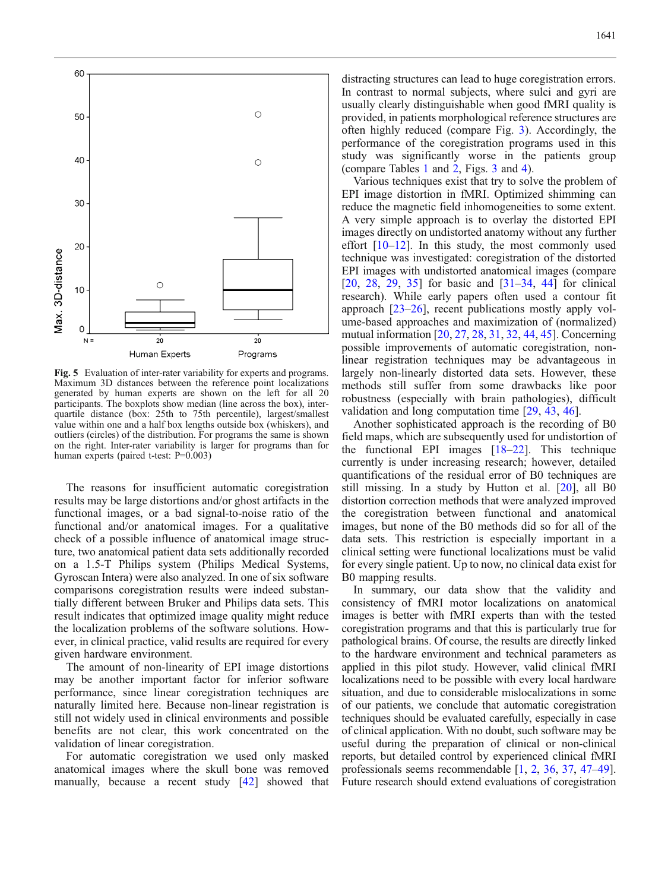<span id="page-7-0"></span>

Fig. 5 Evaluation of inter-rater variability for experts and programs. Maximum 3D distances between the reference point localizations generated by human experts are shown on the left for all 20 participants. The boxplots show median (line across the box), interquartile distance (box: 25th to 75th percentile), largest/smallest value within one and a half box lengths outside box (whiskers), and outliers (circles) of the distribution. For programs the same is shown on the right. Inter-rater variability is larger for programs than for human experts (paired t-test: P=0.003)

The reasons for insufficient automatic coregistration results may be large distortions and/or ghost artifacts in the functional images, or a bad signal-to-noise ratio of the functional and/or anatomical images. For a qualitative check of a possible influence of anatomical image structure, two anatomical patient data sets additionally recorded on a 1.5-T Philips system (Philips Medical Systems, Gyroscan Intera) were also analyzed. In one of six software comparisons coregistration results were indeed substantially different between Bruker and Philips data sets. This result indicates that optimized image quality might reduce the localization problems of the software solutions. However, in clinical practice, valid results are required for every given hardware environment.

The amount of non-linearity of EPI image distortions may be another important factor for inferior software performance, since linear coregistration techniques are naturally limited here. Because non-linear registration is still not widely used in clinical environments and possible benefits are not clear, this work concentrated on the validation of linear coregistration.

For automatic coregistration we used only masked anatomical images where the skull bone was removed manually, because a recent study [\[42\]](#page-9-0) showed that

distracting structures can lead to huge coregistration errors. In contrast to normal subjects, where sulci and gyri are usually clearly distinguishable when good fMRI quality is provided, in patients morphological reference structures are often highly reduced (compare Fig. [3](#page-4-0)). Accordingly, the performance of the coregistration programs used in this study was significantly worse in the patients group (compare Tables [1](#page-3-0) and [2](#page-5-0), Figs. [3](#page-4-0) and [4](#page-5-0)).

Various techniques exist that try to solve the problem of EPI image distortion in fMRI. Optimized shimming can reduce the magnetic field inhomogeneities to some extent. A very simple approach is to overlay the distorted EPI images directly on undistorted anatomy without any further effort  $[10-12]$  $[10-12]$  $[10-12]$ . In this study, the most commonly used technique was investigated: coregistration of the distorted EPI images with undistorted anatomical images (compare [[20](#page-8-0), [28](#page-8-0), [29](#page-9-0), [35\]](#page-9-0) for basic and [[31](#page-9-0)–[34](#page-9-0), [44](#page-9-0)] for clinical research). While early papers often used a contour fit approach [\[23](#page-8-0)–[26](#page-8-0)], recent publications mostly apply volume-based approaches and maximization of (normalized) mutual information [[20](#page-8-0), [27](#page-8-0), [28,](#page-8-0) [31,](#page-9-0) [32](#page-9-0), [44](#page-9-0), [45](#page-9-0)]. Concerning possible improvements of automatic coregistration, nonlinear registration techniques may be advantageous in largely non-linearly distorted data sets. However, these methods still suffer from some drawbacks like poor robustness (especially with brain pathologies), difficult validation and long computation time [[29,](#page-9-0) [43](#page-9-0), [46](#page-9-0)].

Another sophisticated approach is the recording of B0 field maps, which are subsequently used for undistortion of the functional EPI images [\[18](#page-8-0)–[22\]](#page-8-0). This technique currently is under increasing research; however, detailed quantifications of the residual error of B0 techniques are still missing. In a study by Hutton et al. [\[20\]](#page-8-0), all B0 distortion correction methods that were analyzed improved the coregistration between functional and anatomical images, but none of the B0 methods did so for all of the data sets. This restriction is especially important in a clinical setting were functional localizations must be valid for every single patient. Up to now, no clinical data exist for B0 mapping results.

In summary, our data show that the validity and consistency of fMRI motor localizations on anatomical images is better with fMRI experts than with the tested coregistration programs and that this is particularly true for pathological brains. Of course, the results are directly linked to the hardware environment and technical parameters as applied in this pilot study. However, valid clinical fMRI localizations need to be possible with every local hardware situation, and due to considerable mislocalizations in some of our patients, we conclude that automatic coregistration techniques should be evaluated carefully, especially in case of clinical application. With no doubt, such software may be useful during the preparation of clinical or non-clinical reports, but detailed control by experienced clinical fMRI professionals seems recommendable [\[1,](#page-8-0) [2,](#page-8-0) [36](#page-9-0), [37](#page-9-0), [47](#page-9-0)–[49](#page-9-0)]. Future research should extend evaluations of coregistration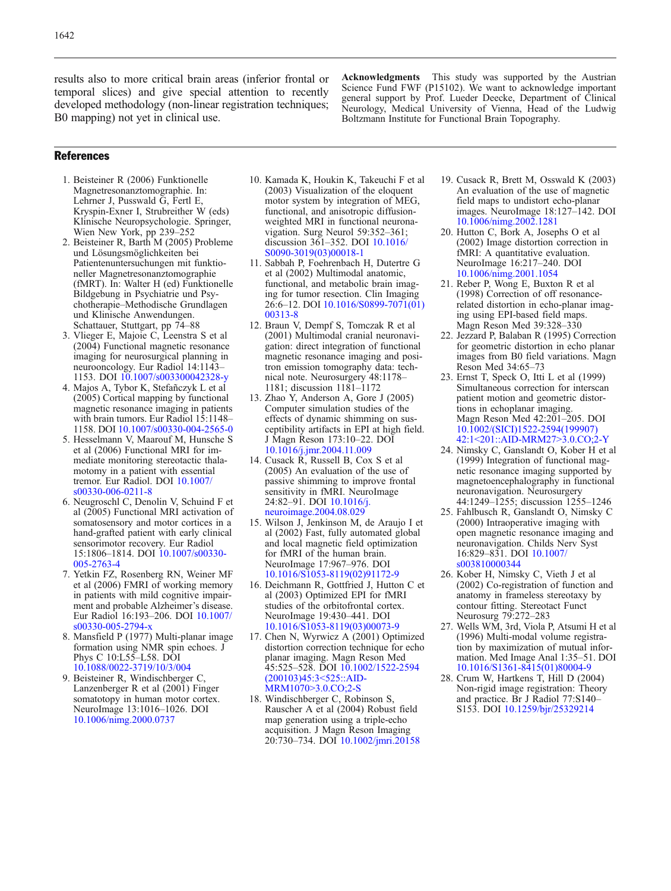<span id="page-8-0"></span>results also to more critical brain areas (inferior frontal or temporal slices) and give special attention to recently developed methodology (non-linear registration techniques; B0 mapping) not yet in clinical use.

Acknowledgments This study was supported by the Austrian Science Fund FWF (P15102). We want to acknowledge important general support by Prof. Lueder Deecke, Department of Clinical Neurology, Medical University of Vienna, Head of the Ludwig Boltzmann Institute for Functional Brain Topography.

#### References

- 1. Beisteiner R (2006) Funktionelle Magnetresonanztomographie. In: Lehrner J, Pusswald G, Fertl E, Kryspin-Exner I, Strubreither W (eds) Klinische Neuropsychologie. Springer, Wien New York, pp 239–252
- 2. Beisteiner R, Barth M (2005) Probleme und Lösungsmöglichkeiten bei Patientenuntersuchungen mit funktioneller Magnetresonanztomographie (fMRT). In: Walter H (ed) Funktionelle Bildgebung in Psychiatrie und Psychotherapie–Methodische Grundlagen und Klinische Anwendungen. Schattauer, Stuttgart, pp 74–88
- 3. Vlieger E, Majoie C, Leenstra S et al (2004) Functional magnetic resonance imaging for neurosurgical planning in neurooncology. Eur Radiol 14:1143– 1153. DOI [10.1007/s003300042328-y](http://dx.doi.org/10.1007/s003300042328-y)
- 4. Majos A, Tybor K, Stefañczyk L et al (2005) Cortical mapping by functional magnetic resonance imaging in patients with brain tumors. Eur Radiol 15:1148– 1158. DOI [10.1007/s00330-004-2565-0](http://dx.doi.org/10.1007/s00330-004-2565-0)
- 5. Hesselmann V, Maarouf M, Hunsche S et al (2006) Functional MRI for immediate monitoring stereotactic thalamotomy in a patient with essential tremor. Eur Radiol. DOI [10.1007/](http://dx.doi.org/10.1007/s00330-006-0211-8) [s00330-006-0211-8](http://dx.doi.org/10.1007/s00330-006-0211-8)
- 6. Neugroschl C, Denolin V, Schuind F et al (2005) Functional MRI activation of somatosensory and motor cortices in a hand-grafted patient with early clinical sensorimotor recovery. Eur Radiol 15:1806–1814. DOI [10.1007/s00330-](http://dx.doi.org/10.1007/s00330-005-2763-4) [005-2763-4](http://dx.doi.org/10.1007/s00330-005-2763-4)
- 7. Yetkin FZ, Rosenberg RN, Weiner MF et al (2006) FMRI of working memory in patients with mild cognitive impairment and probable Alzheimer's disease. Eur Radiol 16:193–206. DOI [10.1007/](http://dx.doi.org/10.1007/s00330-005-2794-x) [s00330-005-2794-x](http://dx.doi.org/10.1007/s00330-005-2794-x)
- 8. Mansfield P (1977) Multi-planar image formation using NMR spin echoes. J Phys C 10:L55–L58. DOI [10.1088/0022-3719/10/3/004](http://dx.doi.org/10.1088/0022-3719/10/3/004)
- 9. Beisteiner R, Windischberger C, Lanzenberger R et al (2001) Finger somatotopy in human motor cortex. NeuroImage 13:1016–1026. DOI [10.1006/nimg.2000.0737](http://dx.doi.org/10.1006/nimg.2000.0737)
- 10. Kamada K, Houkin K, Takeuchi F et al (2003) Visualization of the eloquent motor system by integration of MEG, functional, and anisotropic diffusionweighted MRI in functional neuronavigation. Surg Neurol 59:352–361; discussion 361–352. DOI [10.1016/](http://dx.doi.org/10.1016/S0090-3019(03)00018-1) [S0090-3019\(03\)00018-1](http://dx.doi.org/10.1016/S0090-3019(03)00018-1)
- 11. Sabbah P, Foehrenbach H, Dutertre G et al (2002) Multimodal anatomic, functional, and metabolic brain imaging for tumor resection. Clin Imaging 26:6–12. DOI [10.1016/S0899-7071\(01\)](http://dx.doi.org/10.1016/S0899-7071(01)00313-8) [00313-8](http://dx.doi.org/10.1016/S0899-7071(01)00313-8)
- 12. Braun V, Dempf S, Tomczak R et al (2001) Multimodal cranial neuronavigation: direct integration of functional magnetic resonance imaging and positron emission tomography data: technical note. Neurosurgery 48:1178– 1181; discussion 1181–1172
- 13. Zhao Y, Anderson A, Gore J (2005) Computer simulation studies of the effects of dynamic shimming on susceptibility artifacts in EPI at high field. J Magn Reson 173:10–22. DOI [10.1016/j.jmr.2004.11.009](http://dx.doi.org/10.1016/j.jmr.2004.11.009)
- 14. Cusack R, Russell B, Cox S et al (2005) An evaluation of the use of passive shimming to improve frontal sensitivity in fMRI. NeuroImage 24:82–91. DOI [10.1016/j.](http://dx.doi.org/10.1016/j.neuroimage.2004.08.029) [neuroimage.2004.08.029](http://dx.doi.org/10.1016/j.neuroimage.2004.08.029)
- 15. Wilson J, Jenkinson M, de Araujo I et al (2002) Fast, fully automated global and local magnetic field optimization for fMRI of the human brain. NeuroImage 17:967–976. DOI [10.1016/S1053-8119\(02\)91172-9](http://dx.doi.org/10.1016/S1053-8119(02)91172-9)
- 16. Deichmann R, Gottfried J, Hutton C et al (2003) Optimized EPI for fMRI studies of the orbitofrontal cortex. NeuroImage 19:430–441. DOI [10.1016/S1053-8119\(03\)00073-9](http://dx.doi.org/10.1016/S1053-8119(03)00073-9)
- 17. Chen N, Wyrwicz A (2001) Optimized distortion correction technique for echo planar imaging. Magn Reson Med 45:525–528. DOI [10.1002/1522-2594](http://dx.doi.org/10.1002/1522-2594(200103)45:3<525::AID-MRM1070>3.0.CO;2-S) [\(200103\)45:3<525::AID-](http://dx.doi.org/10.1002/1522-2594(200103)45:3<525::AID-MRM1070>3.0.CO;2-S)[MRM1070>3.0.CO;2-S](http://dx.doi.org/10.1002/1522-2594(200103)45:3<525::AID-MRM1070>3.0.CO;2-S)
- 18. Windischberger C, Robinson S, Rauscher A et al (2004) Robust field map generation using a triple-echo acquisition. J Magn Reson Imaging 20:730–734. DOI [10.1002/jmri.20158](http://dx.doi.org/10.1002/jmri.20158)
- 19. Cusack R, Brett M, Osswald K (2003) An evaluation of the use of magnetic field maps to undistort echo-planar images. NeuroImage 18:127–142. DOI [10.1006/nimg.2002.1281](http://dx.doi.org/10.1006/nimg.2002.1281)
- 20. Hutton C, Bork A, Josephs O et al (2002) Image distortion correction in fMRI: A quantitative evaluation. NeuroImage 16:217–240. DOI [10.1006/nimg.2001.1054](http://dx.doi.org/10.1006/nimg.2001.1054)
- 21. Reber P, Wong E, Buxton R et al (1998) Correction of off resonancerelated distortion in echo-planar imaging using EPI-based field maps. Magn Reson Med 39:328–330
- 22. Jezzard P, Balaban R (1995) Correction for geometric distortion in echo planar images from B0 field variations. Magn Reson Med 34:65–73
- 23. Ernst T, Speck O, Itti L et al (1999) Simultaneous correction for interscan patient motion and geometric distortions in echoplanar imaging. Magn Reson Med 42:201–205. DOI [10.1002/\(SICI\)1522-2594\(199907\)](http://dx.doi.org/10.1002/(SICI)1522-2594(199907)42:1<201::AID-MRM27>3.0.CO;2-Y) [42:1<201::AID-MRM27>3.0.CO;2-Y](http://dx.doi.org/10.1002/(SICI)1522-2594(199907)42:1<201::AID-MRM27>3.0.CO;2-Y)
- 24. Nimsky C, Ganslandt O, Kober H et al (1999) Integration of functional magnetic resonance imaging supported by magnetoencephalography in functional neuronavigation. Neurosurgery 44:1249–1255; discussion 1255–1246
- 25. Fahlbusch R, Ganslandt O, Nimsky C (2000) Intraoperative imaging with open magnetic resonance imaging and neuronavigation. Childs Nerv Syst 16:829–831. DOI [10.1007/](http://dx.doi.org/10.1007/s003810000344) [s003810000344](http://dx.doi.org/10.1007/s003810000344)
- 26. Kober H, Nimsky C, Vieth J et al (2002) Co-registration of function and anatomy in frameless stereotaxy by contour fitting. Stereotact Funct Neurosurg 79:272–283
- 27. Wells WM, 3rd, Viola P, Atsumi H et al (1996) Multi-modal volume registration by maximization of mutual information. Med Image Anal 1:35–51. DOI [10.1016/S1361-8415\(01\)80004-9](http://dx.doi.org/10.1016/S1361-8415(01)80004-9)
- 28. Crum W, Hartkens T, Hill D (2004) Non-rigid image registration: Theory and practice. Br J Radiol 77:S140– S153. DOI [10.1259/bjr/25329214](http://dx.doi.org/10.1259/bjr/25329214)